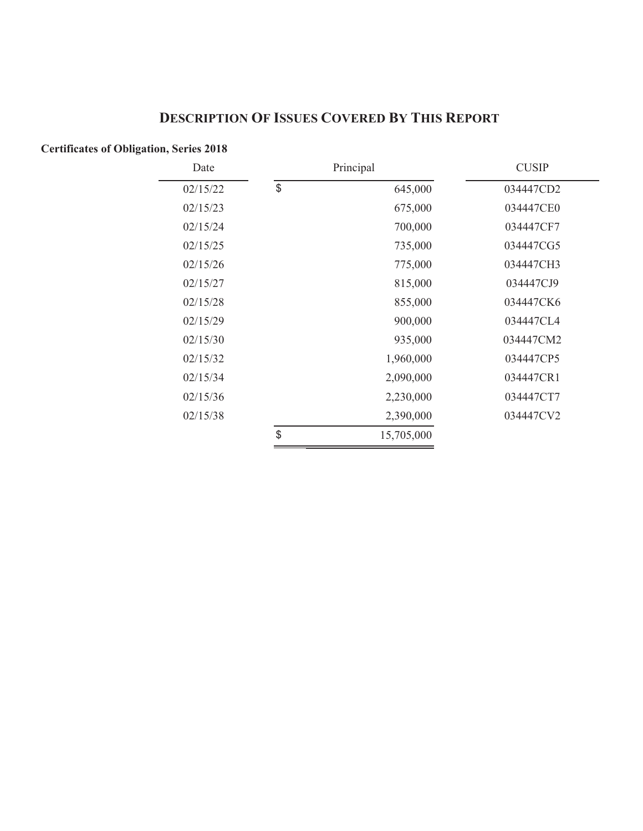# **DESCRIPTION OF ISSUES COVERED BY THIS REPORT**

## **Certificates of Obligation, Series 2018**

| Date     | Principal     |            |           |  | <b>CUSIP</b> |
|----------|---------------|------------|-----------|--|--------------|
| 02/15/22 | $\frac{1}{2}$ | 645,000    | 034447CD2 |  |              |
| 02/15/23 |               | 675,000    | 034447CE0 |  |              |
| 02/15/24 |               | 700,000    | 034447CF7 |  |              |
| 02/15/25 |               | 735,000    | 034447CG5 |  |              |
| 02/15/26 |               | 775,000    | 034447CH3 |  |              |
| 02/15/27 |               | 815,000    | 034447CJ9 |  |              |
| 02/15/28 |               | 855,000    | 034447CK6 |  |              |
| 02/15/29 |               | 900,000    | 034447CL4 |  |              |
| 02/15/30 |               | 935,000    | 034447CM2 |  |              |
| 02/15/32 |               | 1,960,000  | 034447CP5 |  |              |
| 02/15/34 |               | 2,090,000  | 034447CR1 |  |              |
| 02/15/36 |               | 2,230,000  | 034447CT7 |  |              |
| 02/15/38 |               | 2,390,000  | 034447CV2 |  |              |
|          | \$            | 15,705,000 |           |  |              |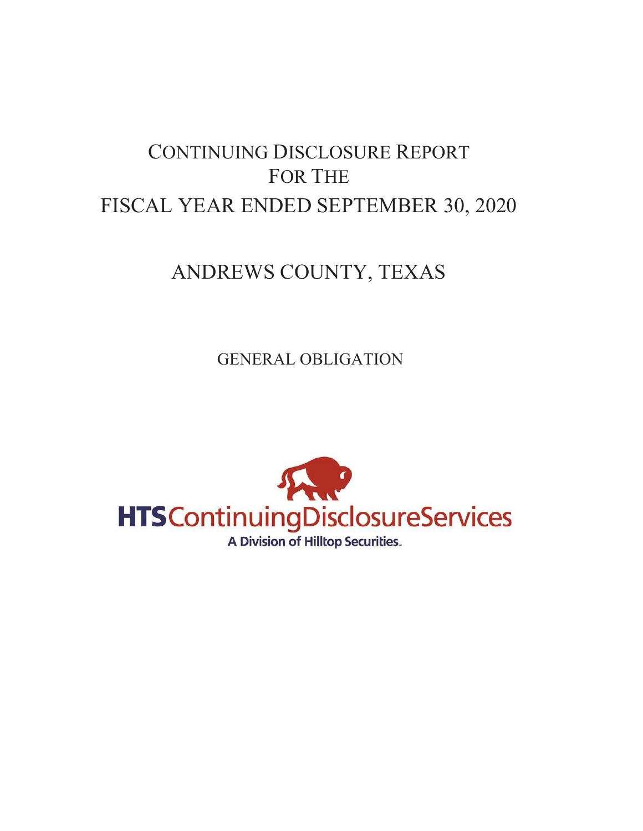# CONTINUING DISCLOSURE REPORT FOR THE FISCAL YEAR ENDED SEPTEMBER 30, 2020

# ANDREWS COUNTY, TEXAS

GENERAL OBLIGATION

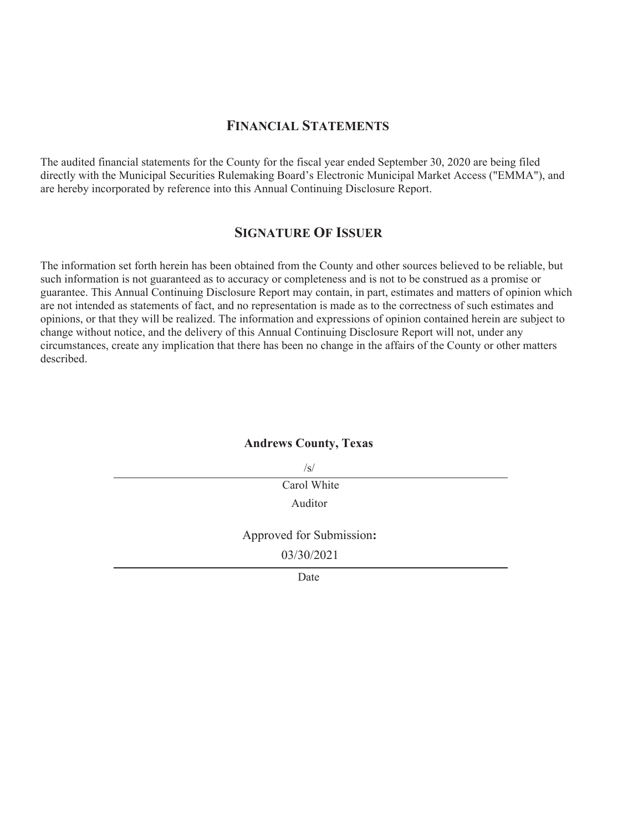### **FINANCIAL STATEMENTS**

The audited financial statements for the County for the fiscal year ended September 30, 2020 are being filed directly with the Municipal Securities Rulemaking Board's Electronic Municipal Market Access ("EMMA"), and are hereby incorporated by reference into this Annual Continuing Disclosure Report.

#### **SIGNATURE OF ISSUER**

The information set forth herein has been obtained from the County and other sources believed to be reliable, but such information is not guaranteed as to accuracy or completeness and is not to be construed as a promise or guarantee. This Annual Continuing Disclosure Report may contain, in part, estimates and matters of opinion which are not intended as statements of fact, and no representation is made as to the correctness of such estimates and opinions, or that they will be realized. The information and expressions of opinion contained herein are subject to change without notice, and the delivery of this Annual Continuing Disclosure Report will not, under any circumstances, create any implication that there has been no change in the affairs of the County or other matters described.

#### **Andrews County, Texas**

 $\sqrt{s}$ 

Carol White Auditor

Approved for Submission**:**

03/30/2021

Date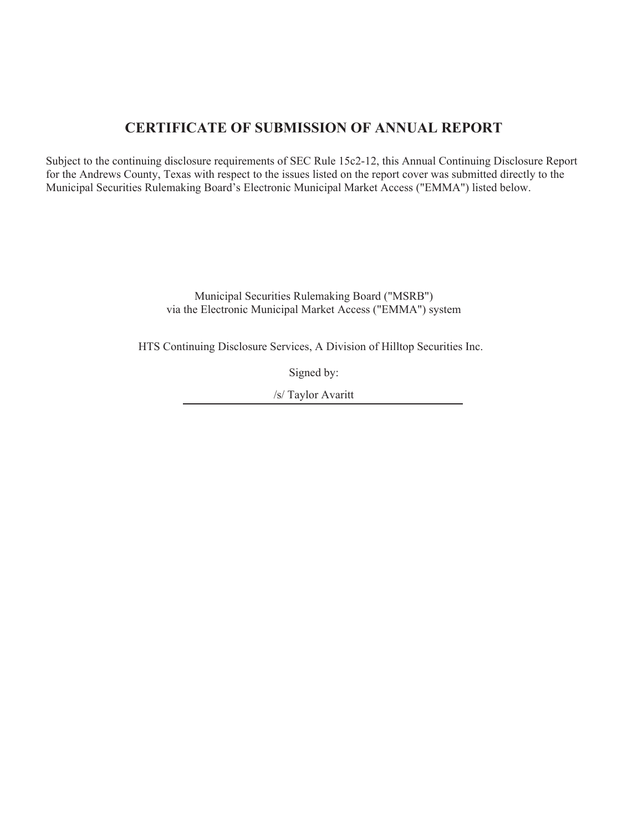# **CERTIFICATE OF SUBMISSION OF ANNUAL REPORT**

Subject to the continuing disclosure requirements of SEC Rule 15c2-12, this Annual Continuing Disclosure Report for the Andrews County, Texas with respect to the issues listed on the report cover was submitted directly to the Municipal Securities Rulemaking Board's Electronic Municipal Market Access ("EMMA") listed below.

> Municipal Securities Rulemaking Board ("MSRB") via the Electronic Municipal Market Access ("EMMA") system

HTS Continuing Disclosure Services, A Division of Hilltop Securities Inc.

Signed by:

/s/ Taylor Avaritt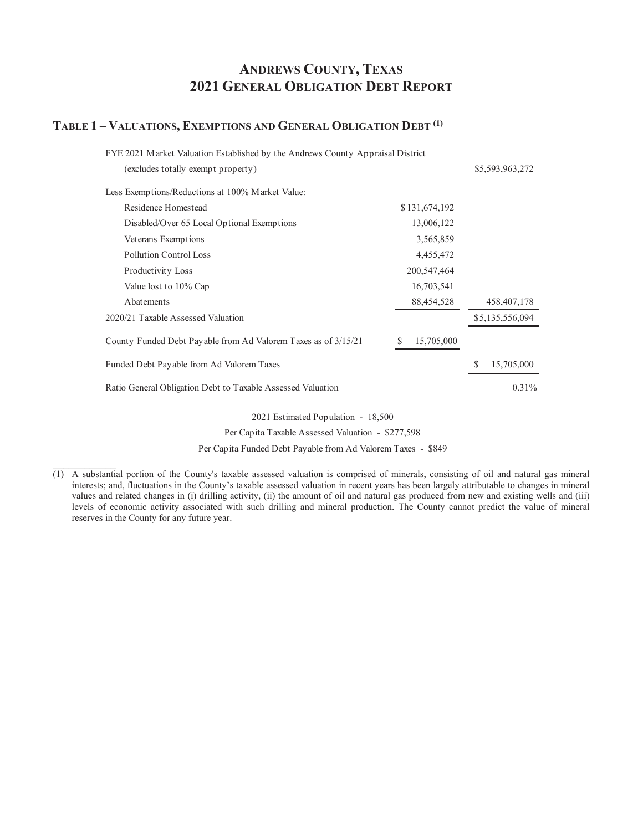# **ANDREWS COUNTY, TEXAS 2021 GENERAL OBLIGATION DEBT REPORT**

#### **TABLE 1 – VALUATIONS, EXEMPTIONS AND GENERAL OBLIGATION DEBT (1)**

| FYE 2021 Market Valuation Established by the Andrews County Appraisal District |                 |                 |
|--------------------------------------------------------------------------------|-----------------|-----------------|
| (excludes totally exempt property)                                             |                 | \$5,593,963,272 |
| Less Exemptions/Reductions at 100% Market Value:                               |                 |                 |
| Residence Homestead                                                            | \$131,674,192   |                 |
| Disabled/Over 65 Local Optional Exemptions                                     | 13,006,122      |                 |
| Veterans Exemptions                                                            | 3,565,859       |                 |
| Pollution Control Loss                                                         | 4,455,472       |                 |
| Productivity Loss                                                              | 200, 547, 464   |                 |
| Value lost to 10% Cap                                                          | 16,703,541      |                 |
| Abatements                                                                     | 88,454,528      | 458, 407, 178   |
| 2020/21 Taxable Assessed Valuation                                             |                 | \$5,135,556,094 |
| County Funded Debt Payable from Ad Valorem Taxes as of 3/15/21                 | 15,705,000<br>S |                 |
| Funded Debt Payable from Ad Valorem Taxes                                      |                 | 15,705,000      |
| Ratio General Obligation Debt to Taxable Assessed Valuation                    |                 | $0.31\%$        |
|                                                                                |                 |                 |

2021 Estimated Population - 18,500

Per Capita Taxable Assessed Valuation - \$277,598

Per Capita Funded Debt Payable from Ad Valorem Taxes - \$849

<sup>(1)</sup> A substantial portion of the County's taxable assessed valuation is comprised of minerals, consisting of oil and natural gas mineral interests; and, fluctuations in the County's taxable assessed valuation in recent years has been largely attributable to changes in mineral values and related changes in (i) drilling activity, (ii) the amount of oil and natural gas produced from new and existing wells and (iii) levels of economic activity associated with such drilling and mineral production. The County cannot predict the value of mineral reserves in the County for any future year.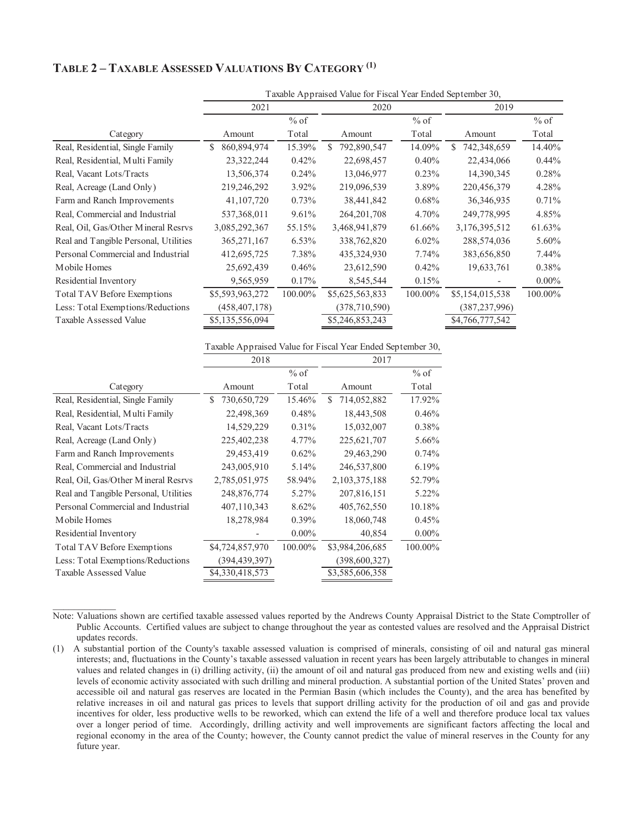### **TABLE 2 – TAXABLE ASSESSED VALUATIONS BY CATEGORY (1)**

|                                       | Taxable Appraised Value for Fiscal Year Ended September 30, |          |                   |          |                  |          |  |  |
|---------------------------------------|-------------------------------------------------------------|----------|-------------------|----------|------------------|----------|--|--|
|                                       | 2021                                                        |          | 2020              |          | 2019             |          |  |  |
|                                       |                                                             | $%$ of   |                   | $%$ of   |                  | $%$ of   |  |  |
| Category                              | Amount                                                      | Total    | Amount            | Total    | Amount           | Total    |  |  |
| Real, Residential, Single Family      | 860,894,974<br>S.                                           | 15.39%   | 792,890,547<br>\$ | 14.09%   | 742,348,659<br>S | 14.40%   |  |  |
| Real, Residential, Multi Family       | 23,322,244                                                  | 0.42%    | 22,698,457        | 0.40%    | 22,434,066       | $0.44\%$ |  |  |
| Real, Vacant Lots/Tracts              | 13,506,374                                                  | 0.24%    | 13,046,977        | 0.23%    | 14,390,345       | 0.28%    |  |  |
| Real, Acreage (Land Only)             | 219,246,292                                                 | 3.92%    | 219,096,539       | 3.89%    | 220,456,379      | 4.28%    |  |  |
| Farm and Ranch Improvements           | 41, 107, 720                                                | 0.73%    | 38,441,842        | 0.68%    | 36, 346, 935     | 0.71%    |  |  |
| Real, Commercial and Industrial       | 537,368,011                                                 | 9.61%    | 264, 201, 708     | 4.70%    | 249,778,995      | 4.85%    |  |  |
| Real, Oil, Gas/Other Mineral Resrvs   | 3,085,292,367                                               | 55.15%   | 3,468,941,879     | 61.66%   | 3,176,395,512    | 61.63%   |  |  |
| Real and Tangible Personal, Utilities | 365, 271, 167                                               | $6.53\%$ | 338,762,820       | $6.02\%$ | 288,574,036      | 5.60%    |  |  |
| Personal Commercial and Industrial    | 412,695,725                                                 | 7.38%    | 435,324,930       | 7.74%    | 383,656,850      | $7.44\%$ |  |  |
| Mobile Homes                          | 25,692,439                                                  | 0.46%    | 23,612,590        | 0.42%    | 19,633,761       | 0.38%    |  |  |
| Residential Inventory                 | 9,565,959                                                   | 0.17%    | 8,545,544         | 0.15%    |                  | $0.00\%$ |  |  |
| Total TAV Before Exemptions           | \$5,593,963,272                                             | 100.00%  | \$5,625,563,833   | 100.00%  | \$5,154,015,538  | 100.00%  |  |  |
| Less: Total Exemptions/Reductions     | (458, 407, 178)                                             |          | (378, 710, 590)   |          | (387,237,996)    |          |  |  |
| Taxable Assessed Value                | \$5,135,556,094                                             |          | \$5,246,853,243   |          | \$4,766,777,542  |          |  |  |
|                                       |                                                             |          |                   |          |                  |          |  |  |

Taxable Appraised Value for Fiscal Year Ended September 30,

|                                       | 2018              |          | 2017              |          |  |
|---------------------------------------|-------------------|----------|-------------------|----------|--|
|                                       |                   | $%$ of   |                   | $%$ of   |  |
| Category                              | Amount            | Total    | Amount            | Total    |  |
| Real, Residential, Single Family      | 730,650,729<br>S. | 15.46%   | 714,052,882<br>S. | 17.92%   |  |
| Real, Residential, Multi Family       | 22,498,369        | 0.48%    | 18,443,508        | 0.46%    |  |
| Real, Vacant Lots/Tracts              | 14,529,229        | 0.31%    | 15,032,007        | 0.38%    |  |
| Real, Acreage (Land Only)             | 225,402,238       | 4.77%    | 225, 621, 707     | 5.66%    |  |
| Farm and Ranch Improvements           | 29,453,419        | 0.62%    | 29,463,290        | 0.74%    |  |
| Real, Commercial and Industrial       | 243,005,910       | 5.14%    | 246,537,800       | 6.19%    |  |
| Real, Oil, Gas/Other Mineral Resrvs   | 2,785,051,975     | 58.94%   | 2,103,375,188     | 52.79%   |  |
| Real and Tangible Personal, Utilities | 248,876,774       | 5.27%    | 207,816,151       | 5.22%    |  |
| Personal Commercial and Industrial    | 407,110,343       | 8.62%    | 405,762,550       | 10.18%   |  |
| Mobile Homes                          | 18,278,984        | $0.39\%$ | 18,060,748        | 0.45%    |  |
| Residential Inventory                 |                   | $0.00\%$ | 40,854            | $0.00\%$ |  |
| Total TAV Before Exemptions           | \$4,724,857,970   | 100.00%  | \$3,984,206,685   | 100.00%  |  |
| Less: Total Exemptions/Reductions     | (394, 439, 397)   |          | (398,600,327)     |          |  |
| Taxable Assessed Value                | \$4,330,418,573   |          | \$3,585,606,358   |          |  |
|                                       |                   |          |                   |          |  |

Note: Valuations shown are certified taxable assessed values reported by the Andrews County Appraisal District to the State Comptroller of Public Accounts. Certified values are subject to change throughout the year as contested values are resolved and the Appraisal District updates records.

(1) A substantial portion of the County's taxable assessed valuation is comprised of minerals, consisting of oil and natural gas mineral interests; and, fluctuations in the County's taxable assessed valuation in recent years has been largely attributable to changes in mineral values and related changes in (i) drilling activity, (ii) the amount of oil and natural gas produced from new and existing wells and (iii) levels of economic activity associated with such drilling and mineral production. A substantial portion of the United States' proven and accessible oil and natural gas reserves are located in the Permian Basin (which includes the County), and the area has benefited by relative increases in oil and natural gas prices to levels that support drilling activity for the production of oil and gas and provide incentives for older, less productive wells to be reworked, which can extend the life of a well and therefore produce local tax values over a longer period of time. Accordingly, drilling activity and well improvements are significant factors affecting the local and regional economy in the area of the County; however, the County cannot predict the value of mineral reserves in the County for any future year.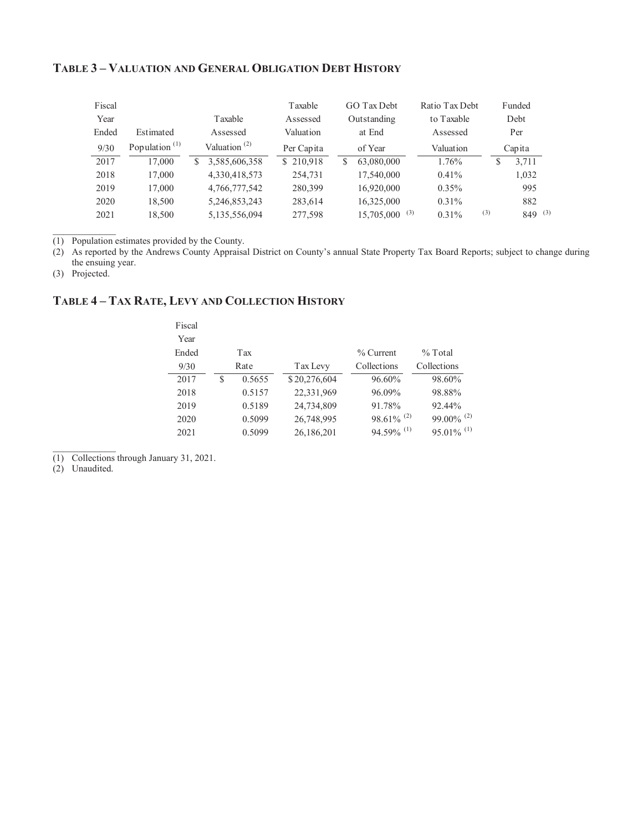#### **TABLE 3 – VALUATION AND GENERAL OBLIGATION DEBT HISTORY**

| Fiscal |                                        |                                       | Taxable    | GO Tax Debt                 | Ratio Tax Debt |     | Funded      |  |
|--------|----------------------------------------|---------------------------------------|------------|-----------------------------|----------------|-----|-------------|--|
| Year   |                                        | Taxable                               | Assessed   | Outstanding                 | to Taxable     |     | Debt        |  |
| Ended  | Estimated                              | Assessed                              | Valuation  | at End                      | Assessed       |     | Per         |  |
| 9/30   | Population <sup><math>(1)</math></sup> | Valuation <sup><math>(2)</math></sup> | Per Capita | of Year                     | Valuation      |     | Capita      |  |
| 2017   | 17,000                                 | 3,585,606,358<br>S                    | \$210,918  | 63,080,000                  | 1.76%          | S   | 3.711       |  |
| 2018   | 17,000                                 | 4,330,418,573                         | 254,731    | 17,540,000                  | $0.41\%$       |     | 1,032       |  |
| 2019   | 17,000                                 | 4,766,777,542                         | 280,399    | 16,920,000                  | $0.35\%$       |     | 995         |  |
| 2020   | 18,500                                 | 5,246,853,243                         | 283,614    | 16,325,000                  | $0.31\%$       |     | 882         |  |
| 2021   | 18,500                                 | 5,135,556,094                         | 277,598    | $15,705,000$ <sup>(3)</sup> | $0.31\%$       | (3) | $849^{(3)}$ |  |

 $\overline{(1)}$  Population estimates provided by the County.

(2) As reported by the Andrews County Appraisal District on County's annual State Property Tax Board Reports; subject to change during the ensuing year.

(3) Projected.

 $\frac{1}{2}$ 

## **TABLE 4 – TAX RATE, LEVY AND COLLECTION HISTORY**

| Fiscal<br>Year |      |        |              |                          |                          |  |
|----------------|------|--------|--------------|--------------------------|--------------------------|--|
| Ended          |      | Tax    |              | $%$ Current              | $%$ Total                |  |
| 9/30           | Rate |        | Tax Levy     | Collections              | Collections              |  |
| 2017           | S    | 0.5655 | \$20,276,604 | 96.60%                   | 98.60%                   |  |
| 2018           |      | 0.5157 | 22,331,969   | 96.09%                   | 98.88%                   |  |
| 2019           |      | 0.5189 | 24,734,809   | 91.78%                   | 92.44%                   |  |
| 2020           |      | 0.5099 | 26,748,995   | $98.61\%$ <sup>(2)</sup> | 99.00% $^{(2)}$          |  |
| 2021           |      | 0.5099 | 26,186,201   | $94.59\%$ <sup>(1)</sup> | $95.01\%$ <sup>(1)</sup> |  |

(1) Collections through January 31, 2021.

(2) Unaudited.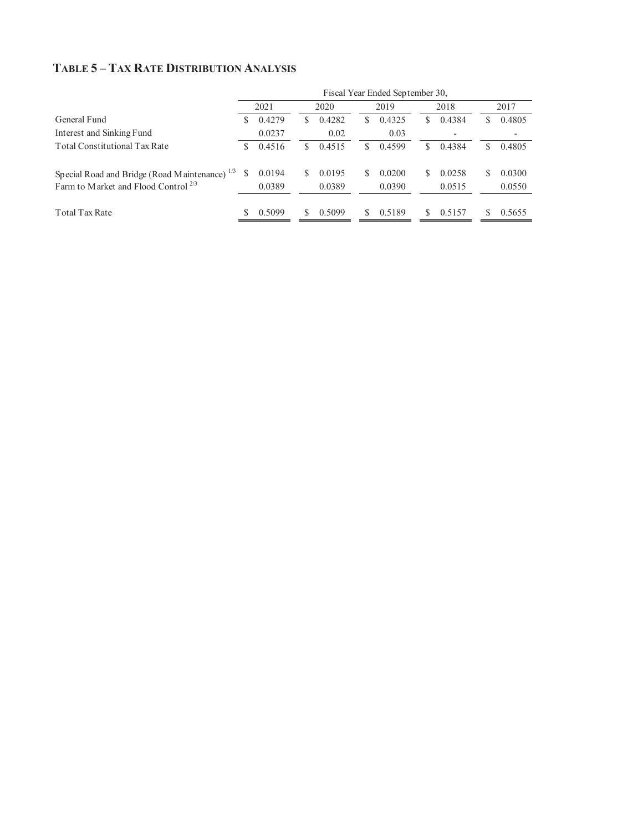## **TABLE 5 – TAX RATE DISTRIBUTION ANALYSIS**

|                                                           | Fiscal Year Ended September 30, |        |   |        |    |        |     |        |    |        |
|-----------------------------------------------------------|---------------------------------|--------|---|--------|----|--------|-----|--------|----|--------|
|                                                           |                                 | 2021   |   | 2020   |    | 2019   |     | 2018   |    | 2017   |
| General Fund                                              | S                               | 0.4279 | S | 0.4282 | S  | 0.4325 | S   | 0.4384 | S  | 0.4805 |
| Interest and Sinking Fund                                 |                                 | 0.0237 |   | 0.02   |    | 0.03   |     |        |    |        |
| <b>Total Constitutional Tax Rate</b>                      | S.                              | 0.4516 | S | 0.4515 | S  | 0.4599 | S   | 0.4384 | \$ | 0.4805 |
| Special Road and Bridge (Road Maintenance) <sup>1/3</sup> | S                               | 0.0194 | S | 0.0195 | S. | 0.0200 | \$. | 0.0258 | S. | 0.0300 |
| Farm to Market and Flood Control <sup>2/3</sup>           |                                 | 0.0389 |   | 0.0389 |    | 0.0390 |     | 0.0515 |    | 0.0550 |
| <b>Total Tax Rate</b>                                     |                                 | 0.5099 |   | 0.5099 | S. | 0.5189 | S   | 0.5157 |    | 0.5655 |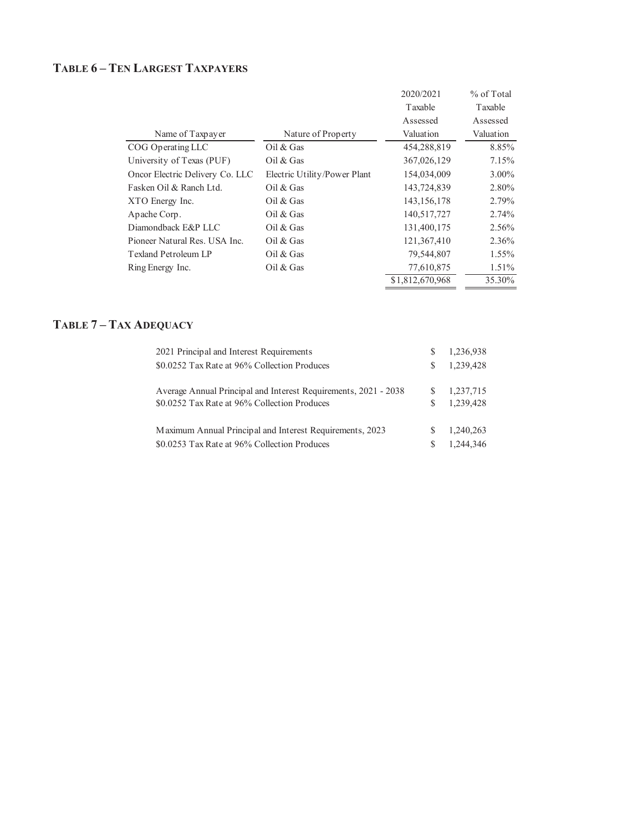## **TABLE 6 – TEN LARGEST TAXPAYERS**

|                                 |                              | 2020/2021       | % of Total |
|---------------------------------|------------------------------|-----------------|------------|
|                                 |                              | Taxable         | Taxable    |
|                                 |                              | Assessed        | Assessed   |
| Name of Taxpayer                | Nature of Property           | Valuation       | Valuation  |
| COG Operating LLC               | Oil & Gas                    | 454,288,819     | 8.85%      |
| University of Texas (PUF)       | Oil & Gas                    | 367,026,129     | 7.15%      |
| Oncor Electric Delivery Co. LLC | Electric Utility/Power Plant | 154,034,009     | $3.00\%$   |
| Fasken Oil & Ranch Ltd.         | Oil & Gas                    | 143,724,839     | 2.80%      |
| XTO Energy Inc.                 | Oil & Gas                    | 143, 156, 178   | 2.79%      |
| Apache Corp.                    | Oil & Gas                    | 140,517,727     | 2.74%      |
| Diamondback E&P LLC             | Oil & Gas                    | 131,400,175     | 2.56%      |
| Pioneer Natural Res. USA Inc.   | Oil & Gas                    | 121,367,410     | 2.36%      |
| Texland Petroleum LP            | Oil & Gas                    | 79,544,807      | 1.55%      |
| Ring Energy Inc.                | Oil $&$ Gas                  | 77,610,875      | 1.51%      |
|                                 |                              | \$1,812,670,968 | 35.30%     |
|                                 |                              |                 |            |

## **TABLE 7 – TAX ADEQUACY**

| 2021 Principal and Interest Requirements                        |    | 1.236.938 |
|-----------------------------------------------------------------|----|-----------|
| \$0.0252 Tax Rate at 96% Collection Produces                    | S. | 1.239.428 |
| Average Annual Principal and Interest Requirements, 2021 - 2038 |    | 1,237,715 |
| \$0.0252 Tax Rate at 96% Collection Produces                    | S. | 1,239,428 |
| Maximum Annual Principal and Interest Requirements, 2023        | S  | 1.240.263 |
| \$0.0253 Tax Rate at 96% Collection Produces                    | S. | 1,244,346 |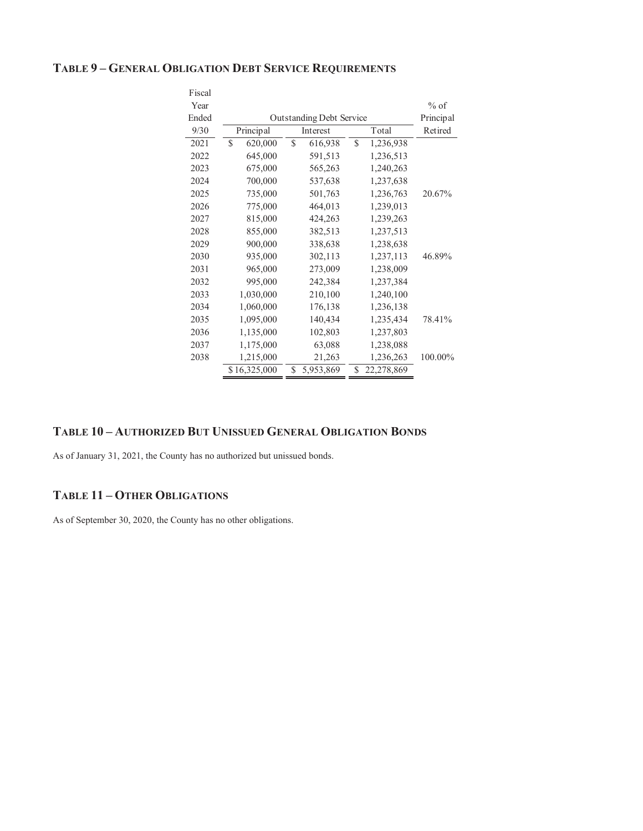#### **TABLE 9 – GENERAL OBLIGATION DEBT SERVICE REQUIREMENTS**

| Fiscal |               |                                 |                  |           |
|--------|---------------|---------------------------------|------------------|-----------|
| Year   |               |                                 |                  | $%$ of    |
| Ended  |               | <b>Outstanding Debt Service</b> |                  | Principal |
| 9/30   | Principal     | Interest                        | Total            | Retired   |
| 2021   | \$<br>620,000 | \$<br>616,938                   | \$<br>1,236,938  |           |
| 2022   | 645,000       | 591,513                         | 1,236,513        |           |
| 2023   | 675,000       | 565,263                         | 1,240,263        |           |
| 2024   | 700,000       | 537,638                         | 1,237,638        |           |
| 2025   | 735,000       | 501,763                         | 1,236,763        | 20.67%    |
| 2026   | 775,000       | 464,013                         | 1,239,013        |           |
| 2027   | 815,000       | 424,263                         | 1,239,263        |           |
| 2028   | 855,000       | 382,513                         | 1,237,513        |           |
| 2029   | 900,000       | 338,638                         | 1,238,638        |           |
| 2030   | 935,000       | 302,113                         | 1,237,113        | 46.89%    |
| 2031   | 965,000       | 273,009                         | 1,238,009        |           |
| 2032   | 995,000       | 242,384                         | 1,237,384        |           |
| 2033   | 1,030,000     | 210,100                         | 1,240,100        |           |
| 2034   | 1,060,000     | 176,138                         | 1,236,138        |           |
| 2035   | 1,095,000     | 140,434                         | 1,235,434        | 78.41%    |
| 2036   | 1,135,000     | 102,803                         | 1,237,803        |           |
| 2037   | 1,175,000     | 63,088                          | 1,238,088        |           |
| 2038   | 1,215,000     | 21,263                          | 1,236,263        | 100.00%   |
|        | \$16,325,000  | \$<br>5,953,869                 | \$<br>22,278,869 |           |

#### **TABLE 10 – AUTHORIZED BUT UNISSUED GENERAL OBLIGATION BONDS**

As of January 31, 2021, the County has no authorized but unissued bonds.

#### **TABLE 11 – OTHER OBLIGATIONS**

As of September 30, 2020, the County has no other obligations.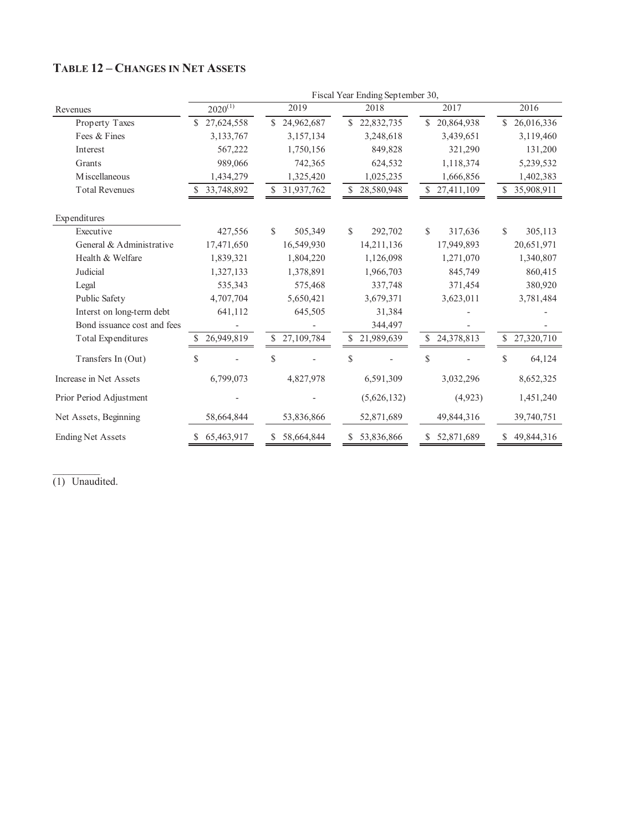|                             | Fiscal Year Ending September 30, |                  |                          |                  |                   |  |  |  |  |  |
|-----------------------------|----------------------------------|------------------|--------------------------|------------------|-------------------|--|--|--|--|--|
| Revenues                    | $2020^{(1)}$                     | 2019             | 2018                     | 2017             | 2016              |  |  |  |  |  |
| Property Taxes              | 27,624,558                       | 24,962,687<br>S. | 22,832,735<br>\$.        | S.<br>20,864,938 | 26,016,336        |  |  |  |  |  |
| Fees & Fines                | 3,133,767                        | 3,157,134        | 3,248,618                | 3,439,651        | 3,119,460         |  |  |  |  |  |
| Interest                    | 567,222                          | 1,750,156        | 849,828                  | 321,290          | 131,200           |  |  |  |  |  |
| Grants                      | 989,066                          | 742,365          | 624,532                  | 1,118,374        | 5,239,532         |  |  |  |  |  |
| M iscellaneous              | 1,434,279                        | 1,325,420        | 1,025,235                | 1,666,856        | 1,402,383         |  |  |  |  |  |
| <b>Total Revenues</b>       | 33,748,892                       | S.<br>31,937,762 | \$.<br>28,580,948        | \$27,411,109     | \$.<br>35,908,911 |  |  |  |  |  |
| Expenditures                |                                  |                  |                          |                  |                   |  |  |  |  |  |
| Executive                   | 427,556                          | \$<br>505,349    | $\mathcal{S}$<br>292,702 | S.<br>317,636    | \$<br>305,113     |  |  |  |  |  |
| General & Administrative    | 17,471,650                       | 16,549,930       | 14,211,136               | 17,949,893       | 20,651,971        |  |  |  |  |  |
| Health & Welfare            | 1,839,321                        | 1,804,220        | 1,126,098                | 1,271,070        | 1,340,807         |  |  |  |  |  |
| Judicial                    | 1,327,133                        | 1,378,891        | 1,966,703                | 845,749          | 860,415           |  |  |  |  |  |
| Legal                       | 535,343                          | 575,468          | 337,748                  | 371,454          | 380,920           |  |  |  |  |  |
| Public Safety               | 4,707,704                        | 5,650,421        | 3,679,371                | 3,623,011        | 3,781,484         |  |  |  |  |  |
| Interst on long-term debt   | 641,112                          | 645,505          | 31,384                   |                  |                   |  |  |  |  |  |
| Bond issuance cost and fees |                                  |                  | 344,497                  |                  |                   |  |  |  |  |  |
| Total Expenditures          | 26,949,819                       | 27,109,784<br>\$ | 21,989,639<br>S          | 24,378,813<br>\$ | 27,320,710<br>\$  |  |  |  |  |  |
| Transfers In (Out)          | \$                               | \$               | $\mathcal{S}$            | \$               | \$<br>64,124      |  |  |  |  |  |
| Increase in Net Assets      | 6,799,073                        | 4,827,978        | 6,591,309                | 3,032,296        | 8,652,325         |  |  |  |  |  |
| Prior Period Adjustment     |                                  |                  | (5,626,132)              | (4,923)          | 1,451,240         |  |  |  |  |  |
| Net Assets, Beginning       | 58,664,844                       | 53,836,866       | 52,871,689               | 49,844,316       | 39,740,751        |  |  |  |  |  |
| <b>Ending Net Assets</b>    | 65,463,917<br>S.                 | 58,664,844<br>S. | 53,836,866<br>\$         | 52,871,689<br>\$ | 49,844,316<br>\$  |  |  |  |  |  |

## **TABLE 12 – CHANGES IN NET ASSETS**

(1) Unaudited.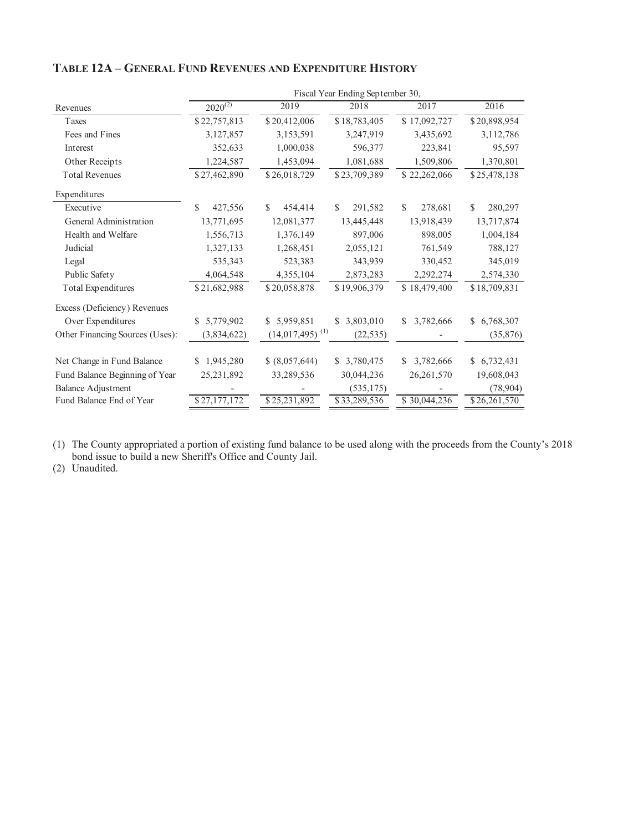|                                 | Fiscal Year Ending September 30, |                               |              |                 |               |  |  |  |
|---------------------------------|----------------------------------|-------------------------------|--------------|-----------------|---------------|--|--|--|
| Revenues                        | $2020^{(2)}$                     | 2019                          | 2018         | 2017            | 2016          |  |  |  |
| Taxes                           | \$22,757,813                     | \$20,412,006                  | \$18,783,405 | \$17,092,727    | \$20,898,954  |  |  |  |
| Fees and Fines                  | 3,127,857                        | 3,153,591                     | 3,247,919    | 3,435,692       | 3,112,786     |  |  |  |
| Interest                        | 352,633                          | 1,000,038                     | 596,377      | 223,841         | 95,597        |  |  |  |
| Other Receipts                  | 1,224,587                        | 1,453,094                     | 1,081,688    | 1,509,806       | 1,370,801     |  |  |  |
| <b>Total Revenues</b>           | \$27,462,890                     | \$26,018,729                  | \$23,709,389 | \$22,262,066    | \$25,478,138  |  |  |  |
| Expenditures                    |                                  |                               |              |                 |               |  |  |  |
| Executive                       | \$<br>427,556                    | 454,414<br>\$                 | S<br>291,582 | \$<br>278,681   | \$<br>280,297 |  |  |  |
| General Administration          | 13,771,695                       | 12,081,377                    | 13,445,448   | 13,918,439      | 13,717,874    |  |  |  |
| Health and Welfare              | 1,556,713                        | 1,376,149                     | 897,006      | 898,005         | 1,004,184     |  |  |  |
| Judicial                        | 1,327,133                        | 1,268,451                     | 2,055,121    | 761,549         | 788,127       |  |  |  |
| Legal                           | 535,343                          | 523,383                       | 343,939      | 330,452         | 345,019       |  |  |  |
| Public Safety                   | 4,064,548                        | 4,355,104                     | 2,873,283    | 2,292,274       | 2,574,330     |  |  |  |
| Total Expenditures              | \$21,682,988                     | \$20,058,878                  | \$19,906,379 | \$18,479,400    | \$18,709,831  |  |  |  |
| Excess (Deficiency) Revenues    |                                  |                               |              |                 |               |  |  |  |
| Over Expenditures               | 5,779,902<br>\$                  | \$5,959,851                   | \$ 3,803,010 | 3,782,666<br>\$ | \$6,768,307   |  |  |  |
| Other Financing Sources (Uses): | (3,834,622)                      | $(14,017,495)$ <sup>(1)</sup> | (22, 535)    |                 | (35,876)      |  |  |  |
| Net Change in Fund Balance      | 1,945,280<br>S.                  | \$ (8,057,644)                | \$ 3,780,475 | 3,782,666<br>S  | \$6,732,431   |  |  |  |
| Fund Balance Beginning of Year  | 25,231,892                       | 33,289,536                    | 30,044,236   | 26,261,570      | 19,608,043    |  |  |  |
| <b>Balance Adjustment</b>       |                                  |                               | (535, 175)   |                 | (78,904)      |  |  |  |
| Fund Balance End of Year        | \$27,177,172                     | \$25,231,892                  | \$33,289,536 | \$30,044,236    | \$26,261,570  |  |  |  |

## **TABLE 12A – GENERAL FUND REVENUES AND EXPENDITURE HISTORY**

(1) The County appropriated a portion of existing fund balance to be used along with the proceeds from the County's 2018 bond issue to build a new Sheriff's Office and County Jail.

(2) Unaudited.